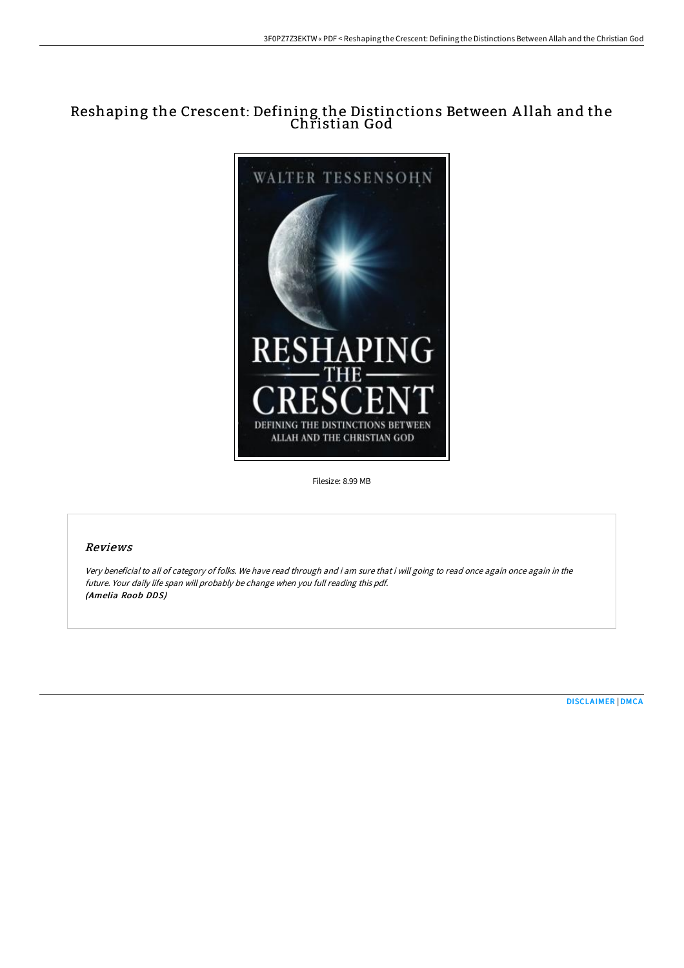# Reshaping the Crescent: Defining the Distinctions Between A llah and the Christian God



Filesize: 8.99 MB

## Reviews

Very beneficial to all of category of folks. We have read through and i am sure that i will going to read once again once again in the future. Your daily life span will probably be change when you full reading this pdf. (Amelia Roob DDS)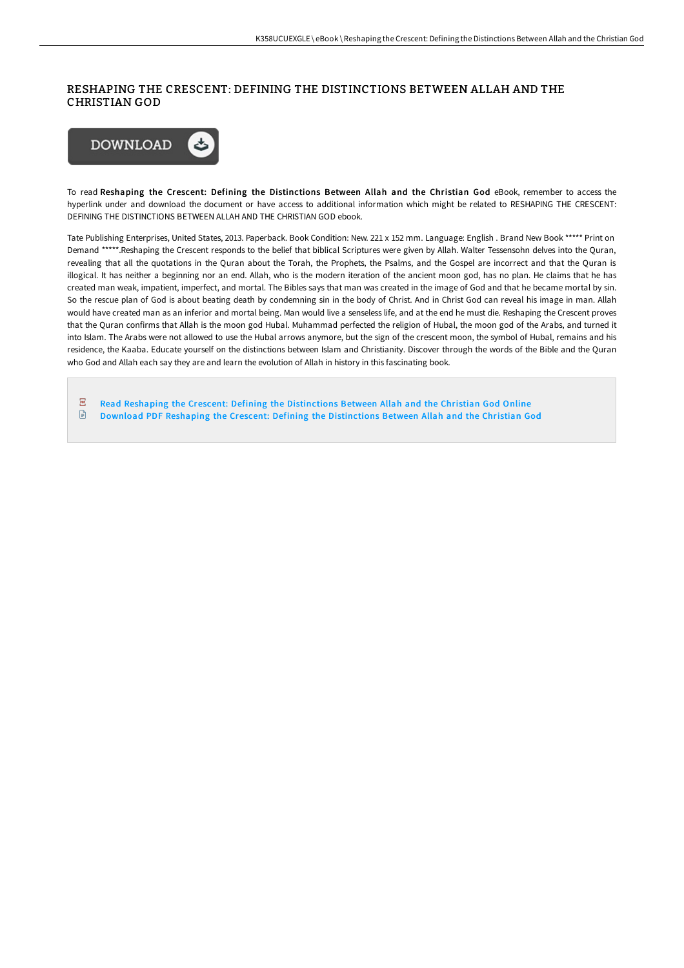### RESHAPING THE CRESCENT: DEFINING THE DISTINCTIONS BETWEEN ALLAH AND THE CHRISTIAN GOD



To read Reshaping the Crescent: Defining the Distinctions Between Allah and the Christian God eBook, remember to access the hyperlink under and download the document or have access to additional information which might be related to RESHAPING THE CRESCENT: DEFINING THE DISTINCTIONS BETWEEN ALLAH AND THE CHRISTIAN GOD ebook.

Tate Publishing Enterprises, United States, 2013. Paperback. Book Condition: New. 221 x 152 mm. Language: English . Brand New Book \*\*\*\*\* Print on Demand \*\*\*\*\*.Reshaping the Crescent responds to the belief that biblical Scriptures were given by Allah. Walter Tessensohn delves into the Quran, revealing that all the quotations in the Quran about the Torah, the Prophets, the Psalms, and the Gospel are incorrect and that the Quran is illogical. It has neither a beginning nor an end. Allah, who is the modern iteration of the ancient moon god, has no plan. He claims that he has created man weak, impatient, imperfect, and mortal. The Bibles says that man was created in the image of God and that he became mortal by sin. So the rescue plan of God is about beating death by condemning sin in the body of Christ. And in Christ God can reveal his image in man. Allah would have created man as an inferior and mortal being. Man would live a senseless life, and at the end he must die. Reshaping the Crescent proves that the Quran confirms that Allah is the moon god Hubal. Muhammad perfected the religion of Hubal, the moon god of the Arabs, and turned it into Islam. The Arabs were not allowed to use the Hubal arrows anymore, but the sign of the crescent moon, the symbol of Hubal, remains and his residence, the Kaaba. Educate yourself on the distinctions between Islam and Christianity. Discover through the words of the Bible and the Quran who God and Allah each say they are and learn the evolution of Allah in history in this fascinating book.

- $\overline{\rm \bf PDF}$ Read Reshaping the Crescent: Defining the [Distinctions](http://techno-pub.tech/reshaping-the-crescent-defining-the-distinctions.html) Between Allah and the Christian God Online
- $\mathbf{E}$ Download PDF Reshaping the Crescent: Defining the [Distinctions](http://techno-pub.tech/reshaping-the-crescent-defining-the-distinctions.html) Between Allah and the Christian God